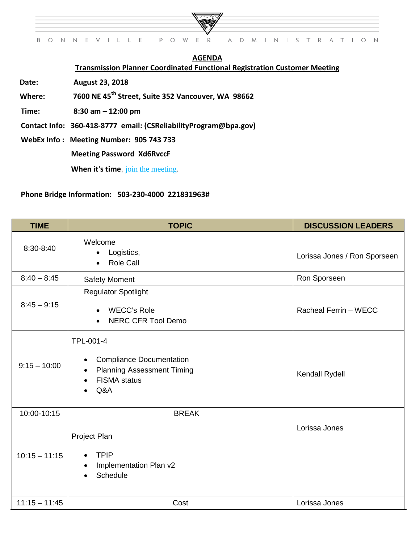

## **AGENDA Transmission Planner Coordinated Functional Registration Customer Meeting**

**Date: August 23, 2018**

**Where: 7600 NE 45th Street, Suite 352 Vancouver, WA 98662**

 **Time: 8:30 am – 12:00 pm** 

 **Contact Info: 360-418-8777 email: (CSReliabilityProgram@bpa.gov)**

 **WebEx Info : Meeting Number: 905 743 733**

 **Meeting Password Xd6RvccF**

When it's time, [join the meeting](https://doe.webex.com/doe/j.php?MTID=m2d520bfd31f0e516d7269b4738a0b657).

## **Phone Bridge Information: 503-230-4000 221831963#**

| <b>TIME</b>     | <b>TOPIC</b>                                                                                                         | <b>DISCUSSION LEADERS</b>    |
|-----------------|----------------------------------------------------------------------------------------------------------------------|------------------------------|
| 8:30-8:40       | Welcome<br>Logistics,<br>$\bullet$<br>Role Call<br>$\bullet$                                                         | Lorissa Jones / Ron Sporseen |
| $8:40 - 8:45$   | <b>Safety Moment</b>                                                                                                 | Ron Sporseen                 |
| $8:45 - 9:15$   | <b>Regulator Spotlight</b><br><b>WECC's Role</b><br>$\bullet$<br><b>NERC CFR Tool Demo</b><br>$\bullet$              | Racheal Ferrin - WECC        |
| $9:15 - 10:00$  | TPL-001-4<br><b>Compliance Documentation</b><br>٠<br><b>Planning Assessment Timing</b><br><b>FISMA</b> status<br>Q&A | Kendall Rydell               |
| 10:00-10:15     | <b>BREAK</b>                                                                                                         |                              |
| $10:15 - 11:15$ | Project Plan<br><b>TPIP</b><br>Implementation Plan v2<br>$\bullet$<br>Schedule                                       | Lorissa Jones                |
| $11:15 - 11:45$ | Cost                                                                                                                 | Lorissa Jones                |